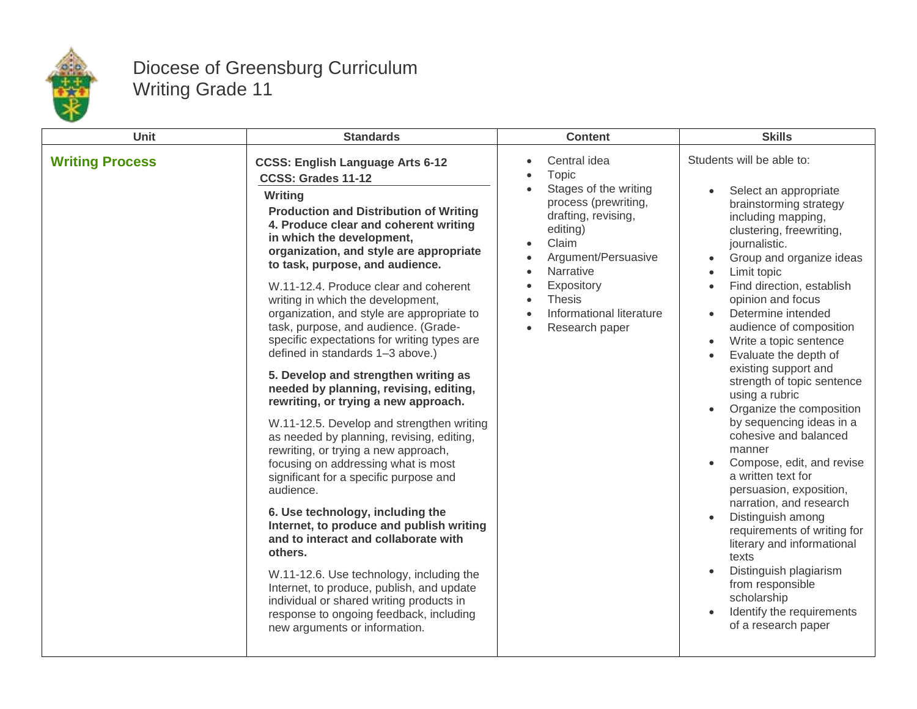

## Diocese of Greensburg Curriculum Writing Grade 11

| <b>Unit</b>            | <b>Standards</b>                                                                                                                                                                                                                                                                                                                                                                                                                                                                                                                                                                                                                                                                                                                                                                                                                                                                                                                                                                                                                                                                                                                                                                                                                                   | <b>Content</b>                                                                                                                                                                                                                                                                                                                                                  | <b>Skills</b>                                                                                                                                                                                                                                                                                                                                                                                                                                                                                                                                                                                                                                                                                                                                                                                                                                         |
|------------------------|----------------------------------------------------------------------------------------------------------------------------------------------------------------------------------------------------------------------------------------------------------------------------------------------------------------------------------------------------------------------------------------------------------------------------------------------------------------------------------------------------------------------------------------------------------------------------------------------------------------------------------------------------------------------------------------------------------------------------------------------------------------------------------------------------------------------------------------------------------------------------------------------------------------------------------------------------------------------------------------------------------------------------------------------------------------------------------------------------------------------------------------------------------------------------------------------------------------------------------------------------|-----------------------------------------------------------------------------------------------------------------------------------------------------------------------------------------------------------------------------------------------------------------------------------------------------------------------------------------------------------------|-------------------------------------------------------------------------------------------------------------------------------------------------------------------------------------------------------------------------------------------------------------------------------------------------------------------------------------------------------------------------------------------------------------------------------------------------------------------------------------------------------------------------------------------------------------------------------------------------------------------------------------------------------------------------------------------------------------------------------------------------------------------------------------------------------------------------------------------------------|
| <b>Writing Process</b> | <b>CCSS: English Language Arts 6-12</b><br>CCSS: Grades 11-12<br>Writing<br><b>Production and Distribution of Writing</b><br>4. Produce clear and coherent writing<br>in which the development,<br>organization, and style are appropriate<br>to task, purpose, and audience.<br>W.11-12.4. Produce clear and coherent<br>writing in which the development,<br>organization, and style are appropriate to<br>task, purpose, and audience. (Grade-<br>specific expectations for writing types are<br>defined in standards 1-3 above.)<br>5. Develop and strengthen writing as<br>needed by planning, revising, editing,<br>rewriting, or trying a new approach.<br>W.11-12.5. Develop and strengthen writing<br>as needed by planning, revising, editing,<br>rewriting, or trying a new approach,<br>focusing on addressing what is most<br>significant for a specific purpose and<br>audience.<br>6. Use technology, including the<br>Internet, to produce and publish writing<br>and to interact and collaborate with<br>others.<br>W.11-12.6. Use technology, including the<br>Internet, to produce, publish, and update<br>individual or shared writing products in<br>response to ongoing feedback, including<br>new arguments or information. | Central idea<br>$\bullet$<br><b>Topic</b><br>$\bullet$<br>Stages of the writing<br>$\bullet$<br>process (prewriting,<br>drafting, revising,<br>editing)<br>Claim<br>$\bullet$<br>Argument/Persuasive<br>Narrative<br>$\bullet$<br>Expository<br>$\bullet$<br><b>Thesis</b><br>$\bullet$<br>Informational literature<br>$\bullet$<br>Research paper<br>$\bullet$ | Students will be able to:<br>Select an appropriate<br>brainstorming strategy<br>including mapping,<br>clustering, freewriting,<br>journalistic.<br>Group and organize ideas<br>Limit topic<br>Find direction, establish<br>opinion and focus<br>Determine intended<br>audience of composition<br>Write a topic sentence<br>$\bullet$<br>Evaluate the depth of<br>existing support and<br>strength of topic sentence<br>using a rubric<br>Organize the composition<br>by sequencing ideas in a<br>cohesive and balanced<br>manner<br>Compose, edit, and revise<br>a written text for<br>persuasion, exposition,<br>narration, and research<br>Distinguish among<br>requirements of writing for<br>literary and informational<br>texts<br>Distinguish plagiarism<br>from responsible<br>scholarship<br>Identify the requirements<br>of a research paper |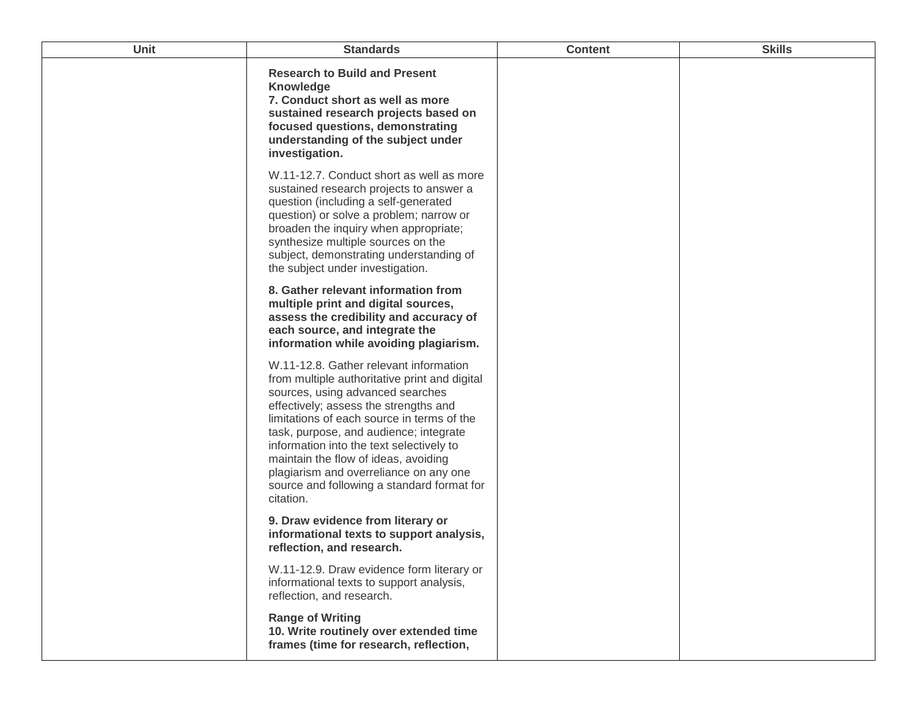| Unit | <b>Standards</b>                                                                                                                                                                                                                                                                                                                                                                                                                                      | <b>Content</b> | <b>Skills</b> |
|------|-------------------------------------------------------------------------------------------------------------------------------------------------------------------------------------------------------------------------------------------------------------------------------------------------------------------------------------------------------------------------------------------------------------------------------------------------------|----------------|---------------|
|      | <b>Research to Build and Present</b><br><b>Knowledge</b><br>7. Conduct short as well as more<br>sustained research projects based on<br>focused questions, demonstrating<br>understanding of the subject under<br>investigation.                                                                                                                                                                                                                      |                |               |
|      | W.11-12.7. Conduct short as well as more<br>sustained research projects to answer a<br>question (including a self-generated<br>question) or solve a problem; narrow or<br>broaden the inquiry when appropriate;<br>synthesize multiple sources on the<br>subject, demonstrating understanding of<br>the subject under investigation.                                                                                                                  |                |               |
|      | 8. Gather relevant information from<br>multiple print and digital sources,<br>assess the credibility and accuracy of<br>each source, and integrate the<br>information while avoiding plagiarism.                                                                                                                                                                                                                                                      |                |               |
|      | W.11-12.8. Gather relevant information<br>from multiple authoritative print and digital<br>sources, using advanced searches<br>effectively; assess the strengths and<br>limitations of each source in terms of the<br>task, purpose, and audience; integrate<br>information into the text selectively to<br>maintain the flow of ideas, avoiding<br>plagiarism and overreliance on any one<br>source and following a standard format for<br>citation. |                |               |
|      | 9. Draw evidence from literary or<br>informational texts to support analysis,<br>reflection, and research.                                                                                                                                                                                                                                                                                                                                            |                |               |
|      | W.11-12.9. Draw evidence form literary or<br>informational texts to support analysis,<br>reflection, and research.                                                                                                                                                                                                                                                                                                                                    |                |               |
|      | <b>Range of Writing</b><br>10. Write routinely over extended time<br>frames (time for research, reflection,                                                                                                                                                                                                                                                                                                                                           |                |               |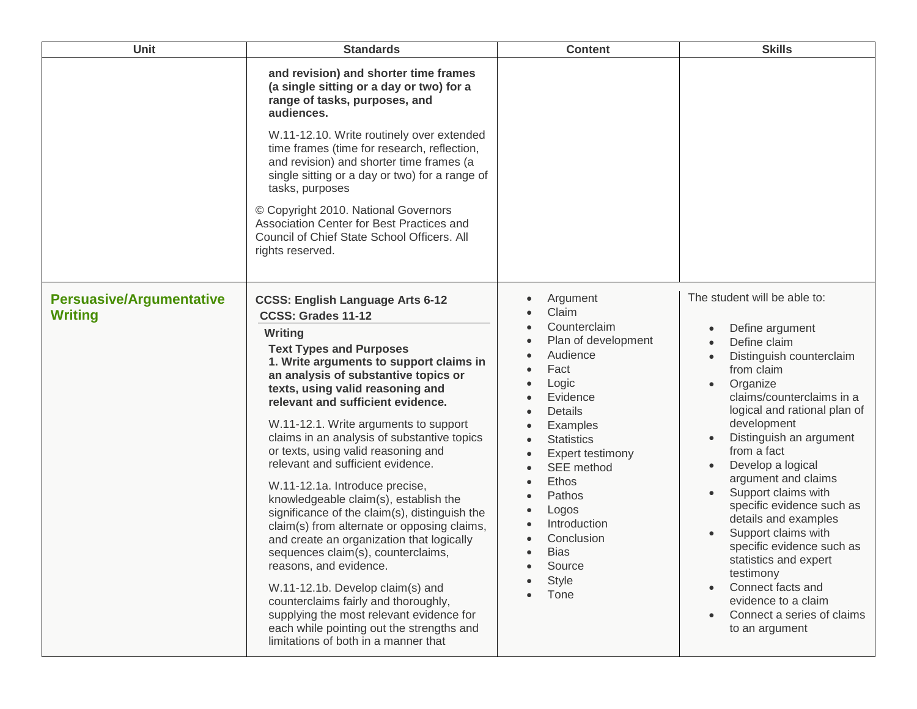| Unit                                              | <b>Standards</b>                                                                                                                                                                                                                                                                                                                                                                                                                                                                                                                                                                                                                                                                                                                                                                                                                                                                                                                                | <b>Content</b>                                                                                                                                                                                                                                                                             | <b>Skills</b>                                                                                                                                                                                                                                                                                                                                                                                                                                                                                                                                                                                    |
|---------------------------------------------------|-------------------------------------------------------------------------------------------------------------------------------------------------------------------------------------------------------------------------------------------------------------------------------------------------------------------------------------------------------------------------------------------------------------------------------------------------------------------------------------------------------------------------------------------------------------------------------------------------------------------------------------------------------------------------------------------------------------------------------------------------------------------------------------------------------------------------------------------------------------------------------------------------------------------------------------------------|--------------------------------------------------------------------------------------------------------------------------------------------------------------------------------------------------------------------------------------------------------------------------------------------|--------------------------------------------------------------------------------------------------------------------------------------------------------------------------------------------------------------------------------------------------------------------------------------------------------------------------------------------------------------------------------------------------------------------------------------------------------------------------------------------------------------------------------------------------------------------------------------------------|
|                                                   | and revision) and shorter time frames<br>(a single sitting or a day or two) for a<br>range of tasks, purposes, and<br>audiences.<br>W.11-12.10. Write routinely over extended<br>time frames (time for research, reflection,<br>and revision) and shorter time frames (a<br>single sitting or a day or two) for a range of<br>tasks, purposes<br>© Copyright 2010. National Governors<br>Association Center for Best Practices and<br>Council of Chief State School Officers. All<br>rights reserved.                                                                                                                                                                                                                                                                                                                                                                                                                                           |                                                                                                                                                                                                                                                                                            |                                                                                                                                                                                                                                                                                                                                                                                                                                                                                                                                                                                                  |
| <b>Persuasive/Argumentative</b><br><b>Writing</b> | <b>CCSS: English Language Arts 6-12</b><br>CCSS: Grades 11-12<br>Writing<br><b>Text Types and Purposes</b><br>1. Write arguments to support claims in<br>an analysis of substantive topics or<br>texts, using valid reasoning and<br>relevant and sufficient evidence.<br>W.11-12.1. Write arguments to support<br>claims in an analysis of substantive topics<br>or texts, using valid reasoning and<br>relevant and sufficient evidence.<br>W.11-12.1a. Introduce precise,<br>knowledgeable claim(s), establish the<br>significance of the claim(s), distinguish the<br>claim(s) from alternate or opposing claims,<br>and create an organization that logically<br>sequences claim(s), counterclaims,<br>reasons, and evidence.<br>W.11-12.1b. Develop claim(s) and<br>counterclaims fairly and thoroughly,<br>supplying the most relevant evidence for<br>each while pointing out the strengths and<br>limitations of both in a manner that | Argument<br>Claim<br>Counterclaim<br>Plan of development<br>Audience<br>Fact<br>Logic<br>Evidence<br>Details<br>Examples<br><b>Statistics</b><br>Expert testimony<br>SEE method<br>Ethos<br>Pathos<br>Logos<br>Introduction<br>Conclusion<br><b>Bias</b><br>Source<br><b>Style</b><br>Tone | The student will be able to:<br>Define argument<br>Define claim<br>Distinguish counterclaim<br>$\bullet$<br>from claim<br>Organize<br>$\bullet$<br>claims/counterclaims in a<br>logical and rational plan of<br>development<br>Distinguish an argument<br>from a fact<br>Develop a logical<br>$\bullet$<br>argument and claims<br>Support claims with<br>specific evidence such as<br>details and examples<br>Support claims with<br>specific evidence such as<br>statistics and expert<br>testimony<br>Connect facts and<br>evidence to a claim<br>Connect a series of claims<br>to an argument |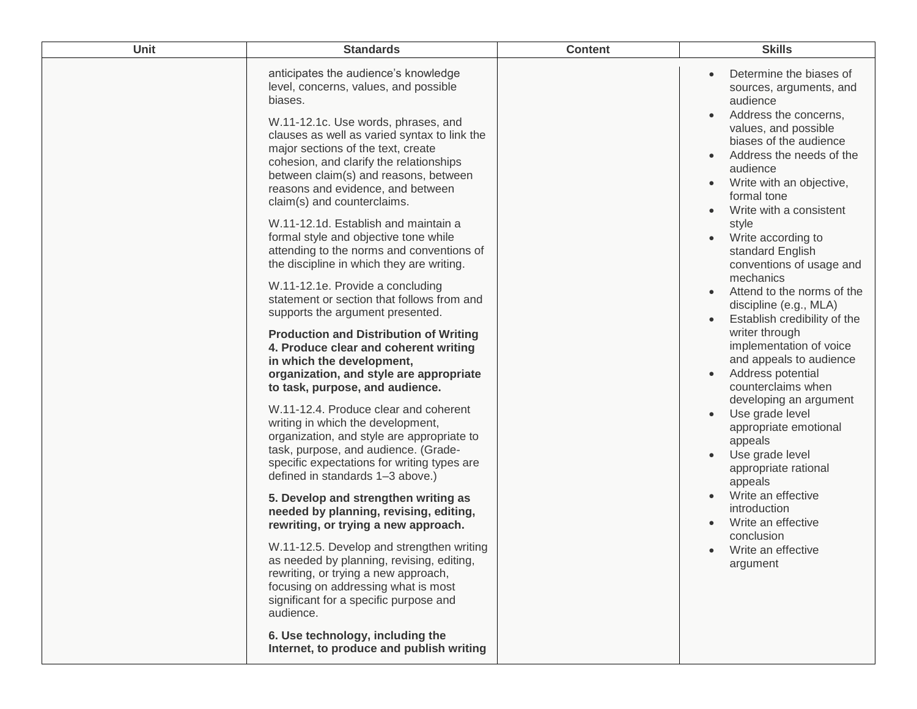| Unit | <b>Standards</b>                                                                                                                                                                                                                                                                                                                                                                                                                                                                                                                                                                                                                                                                                                                                                                                                                                                                                                                                                                                                                                                                                                                                                                                                                                                                                                                                                                                                                                                                                                                                                                     | <b>Content</b> | <b>Skills</b>                                                                                                                                                                                                                                                                                                                                                                                                                                                                                                                                                                                                                                                                                                                                                                                                                                                         |
|------|--------------------------------------------------------------------------------------------------------------------------------------------------------------------------------------------------------------------------------------------------------------------------------------------------------------------------------------------------------------------------------------------------------------------------------------------------------------------------------------------------------------------------------------------------------------------------------------------------------------------------------------------------------------------------------------------------------------------------------------------------------------------------------------------------------------------------------------------------------------------------------------------------------------------------------------------------------------------------------------------------------------------------------------------------------------------------------------------------------------------------------------------------------------------------------------------------------------------------------------------------------------------------------------------------------------------------------------------------------------------------------------------------------------------------------------------------------------------------------------------------------------------------------------------------------------------------------------|----------------|-----------------------------------------------------------------------------------------------------------------------------------------------------------------------------------------------------------------------------------------------------------------------------------------------------------------------------------------------------------------------------------------------------------------------------------------------------------------------------------------------------------------------------------------------------------------------------------------------------------------------------------------------------------------------------------------------------------------------------------------------------------------------------------------------------------------------------------------------------------------------|
|      | anticipates the audience's knowledge<br>level, concerns, values, and possible<br>biases.<br>W.11-12.1c. Use words, phrases, and<br>clauses as well as varied syntax to link the<br>major sections of the text, create<br>cohesion, and clarify the relationships<br>between claim(s) and reasons, between<br>reasons and evidence, and between<br>claim(s) and counterclaims.<br>W.11-12.1d. Establish and maintain a<br>formal style and objective tone while<br>attending to the norms and conventions of<br>the discipline in which they are writing.<br>W.11-12.1e. Provide a concluding<br>statement or section that follows from and<br>supports the argument presented.<br><b>Production and Distribution of Writing</b><br>4. Produce clear and coherent writing<br>in which the development,<br>organization, and style are appropriate<br>to task, purpose, and audience.<br>W.11-12.4. Produce clear and coherent<br>writing in which the development,<br>organization, and style are appropriate to<br>task, purpose, and audience. (Grade-<br>specific expectations for writing types are<br>defined in standards 1-3 above.)<br>5. Develop and strengthen writing as<br>needed by planning, revising, editing,<br>rewriting, or trying a new approach.<br>W.11-12.5. Develop and strengthen writing<br>as needed by planning, revising, editing,<br>rewriting, or trying a new approach,<br>focusing on addressing what is most<br>significant for a specific purpose and<br>audience.<br>6. Use technology, including the<br>Internet, to produce and publish writing |                | Determine the biases of<br>$\bullet$<br>sources, arguments, and<br>audience<br>Address the concerns,<br>values, and possible<br>biases of the audience<br>Address the needs of the<br>audience<br>Write with an objective,<br>formal tone<br>Write with a consistent<br>style<br>Write according to<br>standard English<br>conventions of usage and<br>mechanics<br>Attend to the norms of the<br>discipline (e.g., MLA)<br>Establish credibility of the<br>writer through<br>implementation of voice<br>and appeals to audience<br>Address potential<br>$\bullet$<br>counterclaims when<br>developing an argument<br>Use grade level<br>$\bullet$<br>appropriate emotional<br>appeals<br>Use grade level<br>appropriate rational<br>appeals<br>Write an effective<br>introduction<br>Write an effective<br>conclusion<br>Write an effective<br>$\bullet$<br>argument |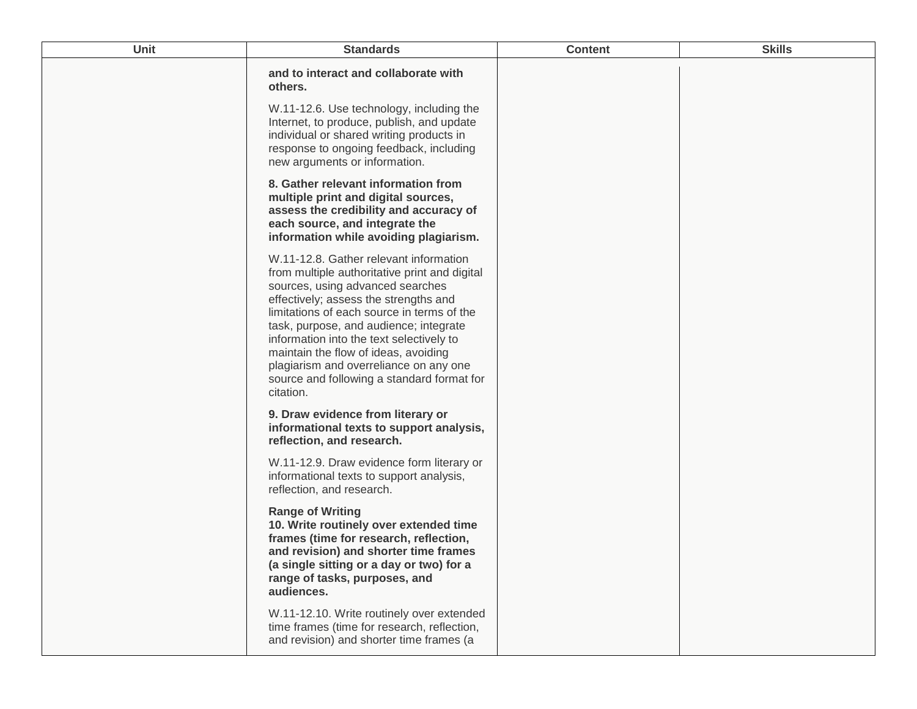| Unit | <b>Standards</b>                                                                                                                                                                                                                                                                                                                                                                                                                                      | <b>Content</b> | <b>Skills</b> |
|------|-------------------------------------------------------------------------------------------------------------------------------------------------------------------------------------------------------------------------------------------------------------------------------------------------------------------------------------------------------------------------------------------------------------------------------------------------------|----------------|---------------|
|      | and to interact and collaborate with<br>others.                                                                                                                                                                                                                                                                                                                                                                                                       |                |               |
|      | W.11-12.6. Use technology, including the<br>Internet, to produce, publish, and update<br>individual or shared writing products in<br>response to ongoing feedback, including<br>new arguments or information.                                                                                                                                                                                                                                         |                |               |
|      | 8. Gather relevant information from<br>multiple print and digital sources,<br>assess the credibility and accuracy of<br>each source, and integrate the<br>information while avoiding plagiarism.                                                                                                                                                                                                                                                      |                |               |
|      | W.11-12.8. Gather relevant information<br>from multiple authoritative print and digital<br>sources, using advanced searches<br>effectively; assess the strengths and<br>limitations of each source in terms of the<br>task, purpose, and audience; integrate<br>information into the text selectively to<br>maintain the flow of ideas, avoiding<br>plagiarism and overreliance on any one<br>source and following a standard format for<br>citation. |                |               |
|      | 9. Draw evidence from literary or<br>informational texts to support analysis,<br>reflection, and research.                                                                                                                                                                                                                                                                                                                                            |                |               |
|      | W.11-12.9. Draw evidence form literary or<br>informational texts to support analysis,<br>reflection, and research.                                                                                                                                                                                                                                                                                                                                    |                |               |
|      | <b>Range of Writing</b><br>10. Write routinely over extended time<br>frames (time for research, reflection,<br>and revision) and shorter time frames<br>(a single sitting or a day or two) for a<br>range of tasks, purposes, and<br>audiences.                                                                                                                                                                                                       |                |               |
|      | W.11-12.10. Write routinely over extended<br>time frames (time for research, reflection,<br>and revision) and shorter time frames (a                                                                                                                                                                                                                                                                                                                  |                |               |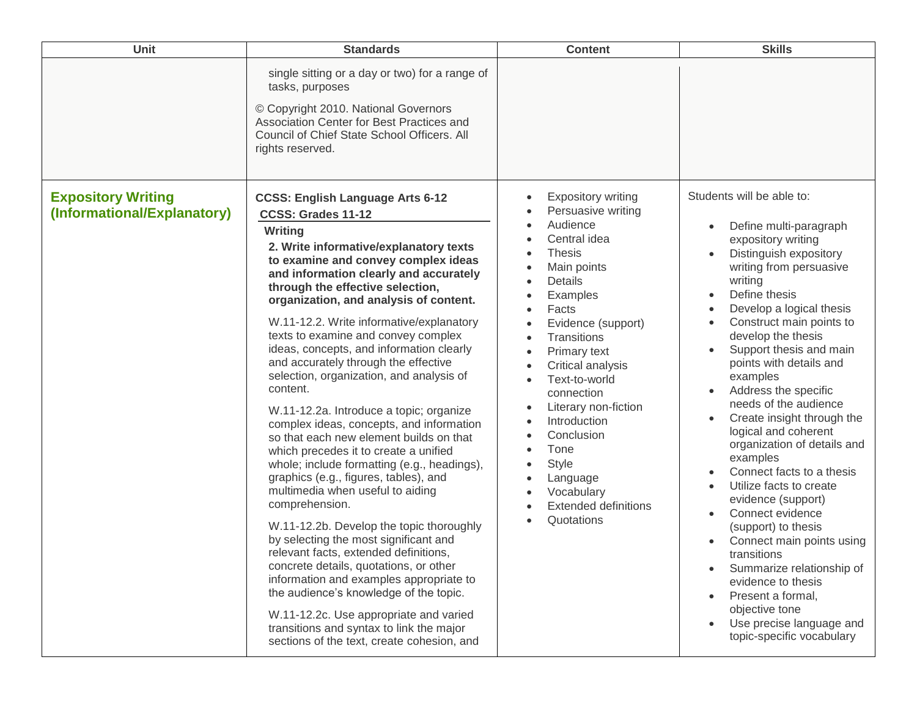| Unit                        | <b>Standards</b>                                                                                                                                                                                                                                                                                                                                                                                                                                                                                                                                                                                                                                                                                                                                                                                                                                                                                                                                                                                                                                                                                                                                                                                | <b>Content</b>                                                                                                                                                                                                                                                                                                                                                                                                                                                                                                                                                                                                   | <b>Skills</b>                                                                                                                                                                                                                                                                                                                                                                                                                                                                                                                                                                                                                                                                                                                                                                                  |
|-----------------------------|-------------------------------------------------------------------------------------------------------------------------------------------------------------------------------------------------------------------------------------------------------------------------------------------------------------------------------------------------------------------------------------------------------------------------------------------------------------------------------------------------------------------------------------------------------------------------------------------------------------------------------------------------------------------------------------------------------------------------------------------------------------------------------------------------------------------------------------------------------------------------------------------------------------------------------------------------------------------------------------------------------------------------------------------------------------------------------------------------------------------------------------------------------------------------------------------------|------------------------------------------------------------------------------------------------------------------------------------------------------------------------------------------------------------------------------------------------------------------------------------------------------------------------------------------------------------------------------------------------------------------------------------------------------------------------------------------------------------------------------------------------------------------------------------------------------------------|------------------------------------------------------------------------------------------------------------------------------------------------------------------------------------------------------------------------------------------------------------------------------------------------------------------------------------------------------------------------------------------------------------------------------------------------------------------------------------------------------------------------------------------------------------------------------------------------------------------------------------------------------------------------------------------------------------------------------------------------------------------------------------------------|
| <b>Expository Writing</b>   | single sitting or a day or two) for a range of<br>tasks, purposes<br>© Copyright 2010. National Governors<br>Association Center for Best Practices and<br>Council of Chief State School Officers. All<br>rights reserved.<br><b>CCSS: English Language Arts 6-12</b>                                                                                                                                                                                                                                                                                                                                                                                                                                                                                                                                                                                                                                                                                                                                                                                                                                                                                                                            | <b>Expository writing</b><br>$\bullet$                                                                                                                                                                                                                                                                                                                                                                                                                                                                                                                                                                           | Students will be able to:                                                                                                                                                                                                                                                                                                                                                                                                                                                                                                                                                                                                                                                                                                                                                                      |
| (Informational/Explanatory) | CCSS: Grades 11-12<br>Writing<br>2. Write informative/explanatory texts<br>to examine and convey complex ideas<br>and information clearly and accurately<br>through the effective selection,<br>organization, and analysis of content.<br>W.11-12.2. Write informative/explanatory<br>texts to examine and convey complex<br>ideas, concepts, and information clearly<br>and accurately through the effective<br>selection, organization, and analysis of<br>content.<br>W.11-12.2a. Introduce a topic; organize<br>complex ideas, concepts, and information<br>so that each new element builds on that<br>which precedes it to create a unified<br>whole; include formatting (e.g., headings),<br>graphics (e.g., figures, tables), and<br>multimedia when useful to aiding<br>comprehension.<br>W.11-12.2b. Develop the topic thoroughly<br>by selecting the most significant and<br>relevant facts, extended definitions,<br>concrete details, quotations, or other<br>information and examples appropriate to<br>the audience's knowledge of the topic.<br>W.11-12.2c. Use appropriate and varied<br>transitions and syntax to link the major<br>sections of the text, create cohesion, and | Persuasive writing<br>Audience<br>$\bullet$<br>Central idea<br><b>Thesis</b><br>$\bullet$<br>Main points<br>$\bullet$<br>Details<br>$\bullet$<br>Examples<br>$\bullet$<br>Facts<br>$\bullet$<br>Evidence (support)<br>$\bullet$<br><b>Transitions</b><br>$\bullet$<br>Primary text<br>Critical analysis<br>Text-to-world<br>$\bullet$<br>connection<br>Literary non-fiction<br>$\bullet$<br>Introduction<br>$\bullet$<br>Conclusion<br>$\bullet$<br>Tone<br>$\bullet$<br><b>Style</b><br>$\bullet$<br>Language<br>$\bullet$<br>Vocabulary<br>$\bullet$<br><b>Extended definitions</b><br>Quotations<br>$\bullet$ | Define multi-paragraph<br>expository writing<br>Distinguish expository<br>writing from persuasive<br>writing<br>Define thesis<br>$\bullet$<br>Develop a logical thesis<br>Construct main points to<br>develop the thesis<br>Support thesis and main<br>points with details and<br>examples<br>Address the specific<br>$\bullet$<br>needs of the audience<br>Create insight through the<br>logical and coherent<br>organization of details and<br>examples<br>Connect facts to a thesis<br>Utilize facts to create<br>evidence (support)<br>Connect evidence<br>(support) to thesis<br>Connect main points using<br>transitions<br>Summarize relationship of<br>evidence to thesis<br>Present a formal,<br>$\bullet$<br>objective tone<br>Use precise language and<br>topic-specific vocabulary |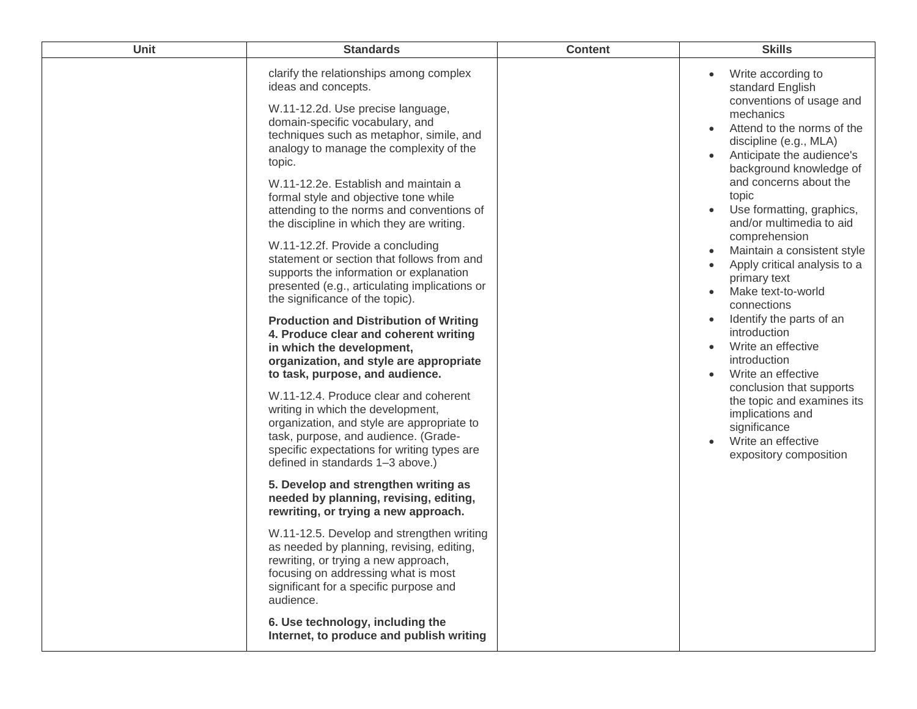| Unit | <b>Standards</b>                                                                                                                                                                                                                                                                                                                                                                                                                                                                                                                                                                                                                    | <b>Content</b> | <b>Skills</b>                                                                                                                                                                                                                                                                                                                                                                                                                    |
|------|-------------------------------------------------------------------------------------------------------------------------------------------------------------------------------------------------------------------------------------------------------------------------------------------------------------------------------------------------------------------------------------------------------------------------------------------------------------------------------------------------------------------------------------------------------------------------------------------------------------------------------------|----------------|----------------------------------------------------------------------------------------------------------------------------------------------------------------------------------------------------------------------------------------------------------------------------------------------------------------------------------------------------------------------------------------------------------------------------------|
|      | clarify the relationships among complex<br>ideas and concepts.<br>W.11-12.2d. Use precise language,<br>domain-specific vocabulary, and<br>techniques such as metaphor, simile, and<br>analogy to manage the complexity of the<br>topic.<br>W.11-12.2e. Establish and maintain a<br>formal style and objective tone while<br>attending to the norms and conventions of<br>the discipline in which they are writing.<br>W.11-12.2f. Provide a concluding<br>statement or section that follows from and<br>supports the information or explanation<br>presented (e.g., articulating implications or<br>the significance of the topic). |                | Write according to<br>standard English<br>conventions of usage and<br>mechanics<br>Attend to the norms of the<br>discipline (e.g., MLA)<br>Anticipate the audience's<br>background knowledge of<br>and concerns about the<br>topic<br>Use formatting, graphics,<br>and/or multimedia to aid<br>comprehension<br>Maintain a consistent style<br>Apply critical analysis to a<br>primary text<br>Make text-to-world<br>connections |
|      | <b>Production and Distribution of Writing</b><br>4. Produce clear and coherent writing<br>in which the development,<br>organization, and style are appropriate<br>to task, purpose, and audience.                                                                                                                                                                                                                                                                                                                                                                                                                                   |                | Identify the parts of an<br>introduction<br>Write an effective<br>$\bullet$<br>introduction<br>Write an effective                                                                                                                                                                                                                                                                                                                |
|      | W.11-12.4. Produce clear and coherent<br>writing in which the development,<br>organization, and style are appropriate to<br>task, purpose, and audience. (Grade-<br>specific expectations for writing types are<br>defined in standards 1-3 above.)                                                                                                                                                                                                                                                                                                                                                                                 |                | conclusion that supports<br>the topic and examines its<br>implications and<br>significance<br>Write an effective<br>$\bullet$<br>expository composition                                                                                                                                                                                                                                                                          |
|      | 5. Develop and strengthen writing as<br>needed by planning, revising, editing,<br>rewriting, or trying a new approach.                                                                                                                                                                                                                                                                                                                                                                                                                                                                                                              |                |                                                                                                                                                                                                                                                                                                                                                                                                                                  |
|      | W.11-12.5. Develop and strengthen writing<br>as needed by planning, revising, editing,<br>rewriting, or trying a new approach,<br>focusing on addressing what is most<br>significant for a specific purpose and<br>audience.                                                                                                                                                                                                                                                                                                                                                                                                        |                |                                                                                                                                                                                                                                                                                                                                                                                                                                  |
|      | 6. Use technology, including the<br>Internet, to produce and publish writing                                                                                                                                                                                                                                                                                                                                                                                                                                                                                                                                                        |                |                                                                                                                                                                                                                                                                                                                                                                                                                                  |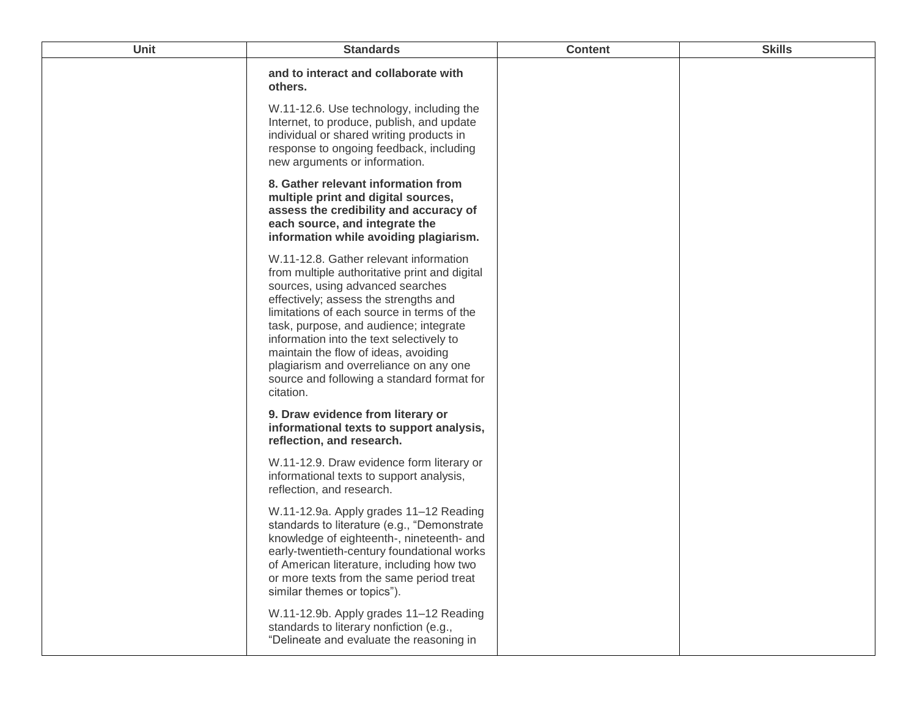| Unit | <b>Standards</b>                                                                                                                                                                                                                                                                                                                                                                                                                                      | <b>Content</b> | <b>Skills</b> |
|------|-------------------------------------------------------------------------------------------------------------------------------------------------------------------------------------------------------------------------------------------------------------------------------------------------------------------------------------------------------------------------------------------------------------------------------------------------------|----------------|---------------|
|      | and to interact and collaborate with<br>others.                                                                                                                                                                                                                                                                                                                                                                                                       |                |               |
|      | W.11-12.6. Use technology, including the<br>Internet, to produce, publish, and update<br>individual or shared writing products in<br>response to ongoing feedback, including<br>new arguments or information.                                                                                                                                                                                                                                         |                |               |
|      | 8. Gather relevant information from<br>multiple print and digital sources,<br>assess the credibility and accuracy of<br>each source, and integrate the<br>information while avoiding plagiarism.                                                                                                                                                                                                                                                      |                |               |
|      | W.11-12.8. Gather relevant information<br>from multiple authoritative print and digital<br>sources, using advanced searches<br>effectively; assess the strengths and<br>limitations of each source in terms of the<br>task, purpose, and audience; integrate<br>information into the text selectively to<br>maintain the flow of ideas, avoiding<br>plagiarism and overreliance on any one<br>source and following a standard format for<br>citation. |                |               |
|      | 9. Draw evidence from literary or<br>informational texts to support analysis,<br>reflection, and research.                                                                                                                                                                                                                                                                                                                                            |                |               |
|      | W.11-12.9. Draw evidence form literary or<br>informational texts to support analysis,<br>reflection, and research.                                                                                                                                                                                                                                                                                                                                    |                |               |
|      | W.11-12.9a. Apply grades 11-12 Reading<br>standards to literature (e.g., "Demonstrate<br>knowledge of eighteenth-, nineteenth- and<br>early-twentieth-century foundational works<br>of American literature, including how two<br>or more texts from the same period treat<br>similar themes or topics").                                                                                                                                              |                |               |
|      | W.11-12.9b. Apply grades 11-12 Reading<br>standards to literary nonfiction (e.g.,<br>"Delineate and evaluate the reasoning in                                                                                                                                                                                                                                                                                                                         |                |               |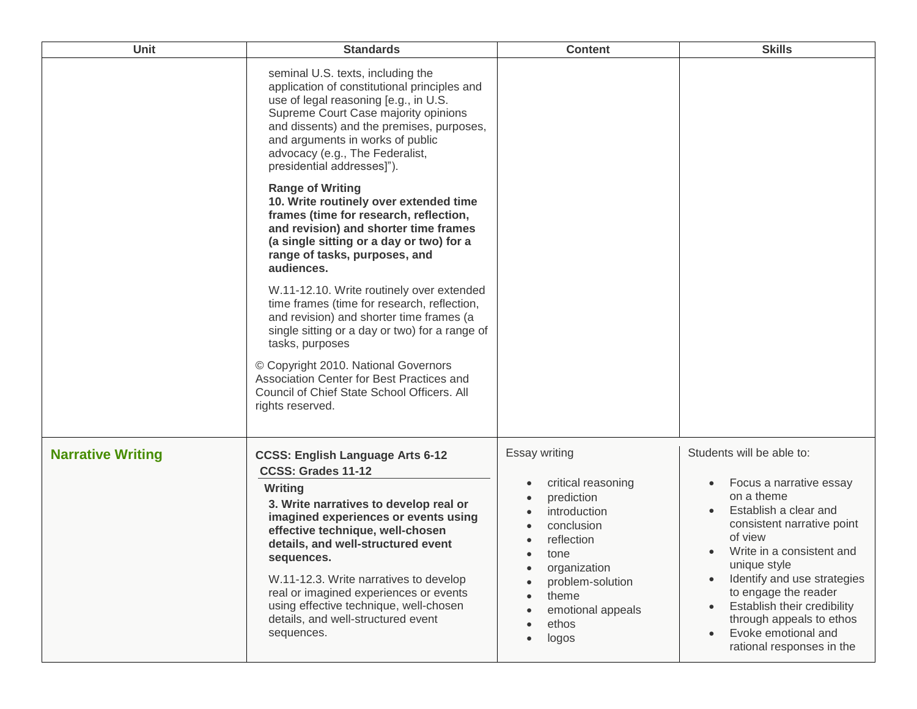| Unit                     | <b>Standards</b>                                                                                                                                                                                                                                                                                                                                                                                                                     | <b>Content</b>                                                                                                                                                                            | <b>Skills</b>                                                                                                                                                                                                                                                                                                                                           |
|--------------------------|--------------------------------------------------------------------------------------------------------------------------------------------------------------------------------------------------------------------------------------------------------------------------------------------------------------------------------------------------------------------------------------------------------------------------------------|-------------------------------------------------------------------------------------------------------------------------------------------------------------------------------------------|---------------------------------------------------------------------------------------------------------------------------------------------------------------------------------------------------------------------------------------------------------------------------------------------------------------------------------------------------------|
|                          | seminal U.S. texts, including the<br>application of constitutional principles and<br>use of legal reasoning [e.g., in U.S.<br>Supreme Court Case majority opinions<br>and dissents) and the premises, purposes,<br>and arguments in works of public<br>advocacy (e.g., The Federalist,<br>presidential addresses]").                                                                                                                 |                                                                                                                                                                                           |                                                                                                                                                                                                                                                                                                                                                         |
|                          | <b>Range of Writing</b><br>10. Write routinely over extended time<br>frames (time for research, reflection,<br>and revision) and shorter time frames<br>(a single sitting or a day or two) for a<br>range of tasks, purposes, and<br>audiences.                                                                                                                                                                                      |                                                                                                                                                                                           |                                                                                                                                                                                                                                                                                                                                                         |
|                          | W.11-12.10. Write routinely over extended<br>time frames (time for research, reflection,<br>and revision) and shorter time frames (a<br>single sitting or a day or two) for a range of<br>tasks, purposes                                                                                                                                                                                                                            |                                                                                                                                                                                           |                                                                                                                                                                                                                                                                                                                                                         |
|                          | © Copyright 2010. National Governors<br>Association Center for Best Practices and<br>Council of Chief State School Officers. All<br>rights reserved.                                                                                                                                                                                                                                                                                 |                                                                                                                                                                                           |                                                                                                                                                                                                                                                                                                                                                         |
| <b>Narrative Writing</b> | <b>CCSS: English Language Arts 6-12</b><br>CCSS: Grades 11-12<br>Writing<br>3. Write narratives to develop real or<br>imagined experiences or events using<br>effective technique, well-chosen<br>details, and well-structured event<br>sequences.<br>W.11-12.3. Write narratives to develop<br>real or imagined experiences or events<br>using effective technique, well-chosen<br>details, and well-structured event<br>sequences. | Essay writing<br>critical reasoning<br>prediction<br>introduction<br>conclusion<br>reflection<br>tone<br>organization<br>problem-solution<br>theme<br>emotional appeals<br>ethos<br>logos | Students will be able to:<br>Focus a narrative essay<br>on a theme<br>Establish a clear and<br>consistent narrative point<br>of view<br>Write in a consistent and<br>unique style<br>Identify and use strategies<br>to engage the reader<br>Establish their credibility<br>through appeals to ethos<br>Evoke emotional and<br>rational responses in the |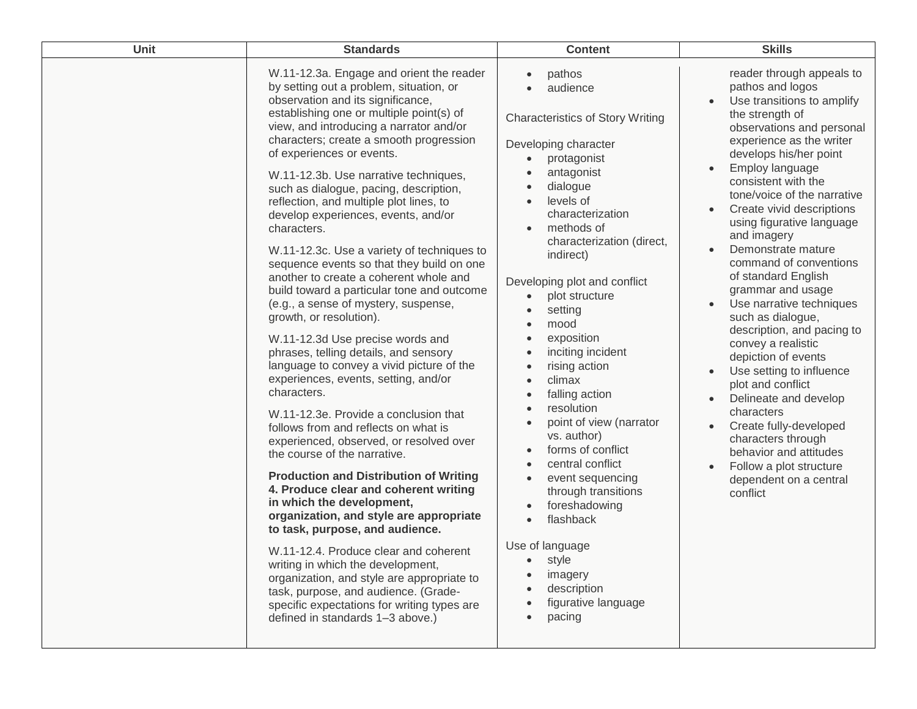| Unit | <b>Standards</b>                                                                                                                                                                                                                                                                                                                                                                                                                                                                                                                                                                                                                                                                                                                                                                                                                                                                                                                                                                                                                                                                                                                                                                                                                                                                                                                                                                                                                                                                                                                           | <b>Content</b>                                                                                                                                                                                                                                                                                                                                                                                                                                                                                                                                                                                                                                                                                                                                                                  | <b>Skills</b>                                                                                                                                                                                                                                                                                                                                                                                                                                                                                                                                                                                                                                                                                                                                                                                                                         |
|------|--------------------------------------------------------------------------------------------------------------------------------------------------------------------------------------------------------------------------------------------------------------------------------------------------------------------------------------------------------------------------------------------------------------------------------------------------------------------------------------------------------------------------------------------------------------------------------------------------------------------------------------------------------------------------------------------------------------------------------------------------------------------------------------------------------------------------------------------------------------------------------------------------------------------------------------------------------------------------------------------------------------------------------------------------------------------------------------------------------------------------------------------------------------------------------------------------------------------------------------------------------------------------------------------------------------------------------------------------------------------------------------------------------------------------------------------------------------------------------------------------------------------------------------------|---------------------------------------------------------------------------------------------------------------------------------------------------------------------------------------------------------------------------------------------------------------------------------------------------------------------------------------------------------------------------------------------------------------------------------------------------------------------------------------------------------------------------------------------------------------------------------------------------------------------------------------------------------------------------------------------------------------------------------------------------------------------------------|---------------------------------------------------------------------------------------------------------------------------------------------------------------------------------------------------------------------------------------------------------------------------------------------------------------------------------------------------------------------------------------------------------------------------------------------------------------------------------------------------------------------------------------------------------------------------------------------------------------------------------------------------------------------------------------------------------------------------------------------------------------------------------------------------------------------------------------|
|      | W.11-12.3a. Engage and orient the reader<br>by setting out a problem, situation, or<br>observation and its significance,<br>establishing one or multiple point(s) of<br>view, and introducing a narrator and/or<br>characters; create a smooth progression<br>of experiences or events.<br>W.11-12.3b. Use narrative techniques,<br>such as dialogue, pacing, description,<br>reflection, and multiple plot lines, to<br>develop experiences, events, and/or<br>characters.<br>W.11-12.3c. Use a variety of techniques to<br>sequence events so that they build on one<br>another to create a coherent whole and<br>build toward a particular tone and outcome<br>(e.g., a sense of mystery, suspense,<br>growth, or resolution).<br>W.11-12.3d Use precise words and<br>phrases, telling details, and sensory<br>language to convey a vivid picture of the<br>experiences, events, setting, and/or<br>characters.<br>W.11-12.3e. Provide a conclusion that<br>follows from and reflects on what is<br>experienced, observed, or resolved over<br>the course of the narrative.<br><b>Production and Distribution of Writing</b><br>4. Produce clear and coherent writing<br>in which the development,<br>organization, and style are appropriate<br>to task, purpose, and audience.<br>W.11-12.4. Produce clear and coherent<br>writing in which the development,<br>organization, and style are appropriate to<br>task, purpose, and audience. (Grade-<br>specific expectations for writing types are<br>defined in standards 1-3 above.) | pathos<br>audience<br><b>Characteristics of Story Writing</b><br>Developing character<br>protagonist<br>$\bullet$<br>antagonist<br>dialogue<br>levels of<br>characterization<br>methods of<br>$\bullet$<br>characterization (direct,<br>indirect)<br>Developing plot and conflict<br>plot structure<br>$\bullet$<br>setting<br>mood<br>exposition<br>inciting incident<br>rising action<br>climax<br>$\bullet$<br>falling action<br>resolution<br>$\bullet$<br>point of view (narrator<br>$\bullet$<br>vs. author)<br>forms of conflict<br>$\bullet$<br>central conflict<br>$\bullet$<br>event sequencing<br>$\bullet$<br>through transitions<br>foreshadowing<br>flashback<br>$\bullet$<br>Use of language<br>style<br>imagery<br>description<br>figurative language<br>pacing | reader through appeals to<br>pathos and logos<br>Use transitions to amplify<br>$\bullet$<br>the strength of<br>observations and personal<br>experience as the writer<br>develops his/her point<br>Employ language<br>consistent with the<br>tone/voice of the narrative<br>Create vivid descriptions<br>$\bullet$<br>using figurative language<br>and imagery<br>Demonstrate mature<br>command of conventions<br>of standard English<br>grammar and usage<br>Use narrative techniques<br>$\bullet$<br>such as dialogue,<br>description, and pacing to<br>convey a realistic<br>depiction of events<br>Use setting to influence<br>plot and conflict<br>Delineate and develop<br>characters<br>Create fully-developed<br>characters through<br>behavior and attitudes<br>Follow a plot structure<br>dependent on a central<br>conflict |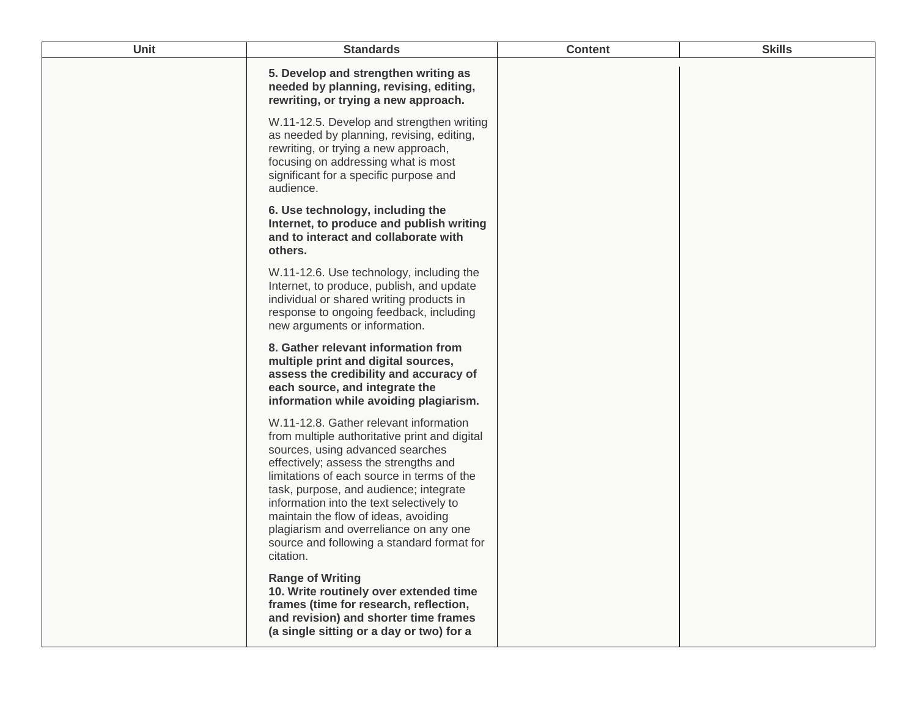| <b>Unit</b> | <b>Standards</b>                                                                                                                                                                                                                                                                                                                                                                                                                                      | <b>Content</b> | <b>Skills</b> |
|-------------|-------------------------------------------------------------------------------------------------------------------------------------------------------------------------------------------------------------------------------------------------------------------------------------------------------------------------------------------------------------------------------------------------------------------------------------------------------|----------------|---------------|
|             | 5. Develop and strengthen writing as<br>needed by planning, revising, editing,<br>rewriting, or trying a new approach.                                                                                                                                                                                                                                                                                                                                |                |               |
|             | W.11-12.5. Develop and strengthen writing<br>as needed by planning, revising, editing,<br>rewriting, or trying a new approach,<br>focusing on addressing what is most<br>significant for a specific purpose and<br>audience.                                                                                                                                                                                                                          |                |               |
|             | 6. Use technology, including the<br>Internet, to produce and publish writing<br>and to interact and collaborate with<br>others.                                                                                                                                                                                                                                                                                                                       |                |               |
|             | W.11-12.6. Use technology, including the<br>Internet, to produce, publish, and update<br>individual or shared writing products in<br>response to ongoing feedback, including<br>new arguments or information.                                                                                                                                                                                                                                         |                |               |
|             | 8. Gather relevant information from<br>multiple print and digital sources,<br>assess the credibility and accuracy of<br>each source, and integrate the<br>information while avoiding plagiarism.                                                                                                                                                                                                                                                      |                |               |
|             | W.11-12.8. Gather relevant information<br>from multiple authoritative print and digital<br>sources, using advanced searches<br>effectively; assess the strengths and<br>limitations of each source in terms of the<br>task, purpose, and audience; integrate<br>information into the text selectively to<br>maintain the flow of ideas, avoiding<br>plagiarism and overreliance on any one<br>source and following a standard format for<br>citation. |                |               |
|             | <b>Range of Writing</b><br>10. Write routinely over extended time<br>frames (time for research, reflection,<br>and revision) and shorter time frames<br>(a single sitting or a day or two) for a                                                                                                                                                                                                                                                      |                |               |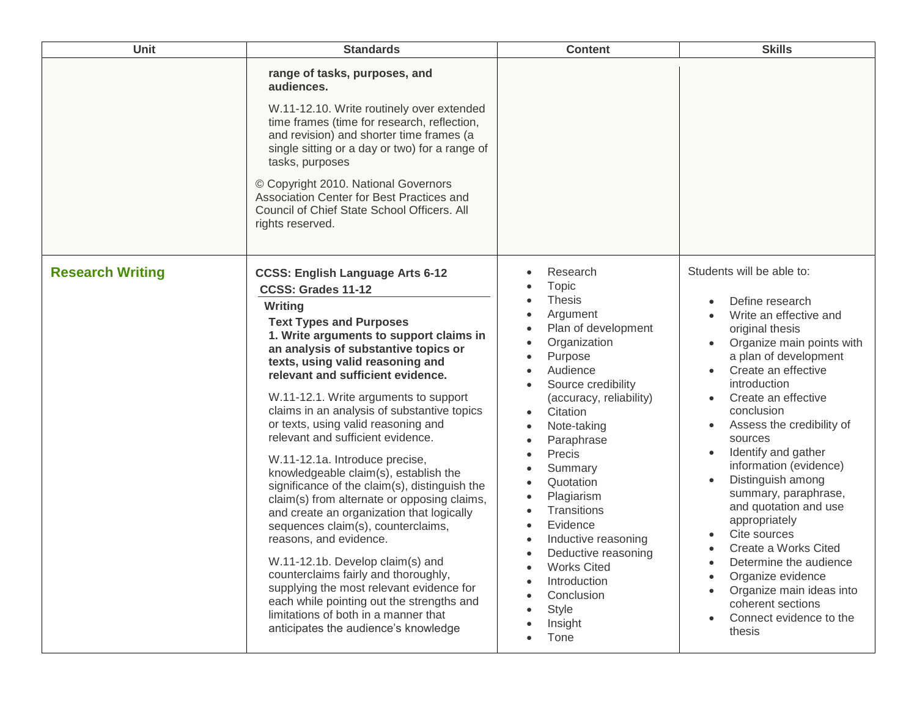| Unit                    | <b>Standards</b>                                                                                                                                                                                                                                                                                                                                                                                                                                                                                                                                                                                                                                                                                                                                                                                                                                                                                                                                                                        | <b>Content</b>                                                                                                                                                                                                                                                                                                                                                                                                                | <b>Skills</b>                                                                                                                                                                                                                                                                                                                                                                                                                                                                                                                                                                                                                                                          |
|-------------------------|-----------------------------------------------------------------------------------------------------------------------------------------------------------------------------------------------------------------------------------------------------------------------------------------------------------------------------------------------------------------------------------------------------------------------------------------------------------------------------------------------------------------------------------------------------------------------------------------------------------------------------------------------------------------------------------------------------------------------------------------------------------------------------------------------------------------------------------------------------------------------------------------------------------------------------------------------------------------------------------------|-------------------------------------------------------------------------------------------------------------------------------------------------------------------------------------------------------------------------------------------------------------------------------------------------------------------------------------------------------------------------------------------------------------------------------|------------------------------------------------------------------------------------------------------------------------------------------------------------------------------------------------------------------------------------------------------------------------------------------------------------------------------------------------------------------------------------------------------------------------------------------------------------------------------------------------------------------------------------------------------------------------------------------------------------------------------------------------------------------------|
|                         | range of tasks, purposes, and<br>audiences.<br>W.11-12.10. Write routinely over extended<br>time frames (time for research, reflection,<br>and revision) and shorter time frames (a<br>single sitting or a day or two) for a range of<br>tasks, purposes<br>© Copyright 2010. National Governors<br>Association Center for Best Practices and<br>Council of Chief State School Officers. All<br>rights reserved.                                                                                                                                                                                                                                                                                                                                                                                                                                                                                                                                                                        |                                                                                                                                                                                                                                                                                                                                                                                                                               |                                                                                                                                                                                                                                                                                                                                                                                                                                                                                                                                                                                                                                                                        |
| <b>Research Writing</b> | <b>CCSS: English Language Arts 6-12</b><br>CCSS: Grades 11-12<br>Writing<br><b>Text Types and Purposes</b><br>1. Write arguments to support claims in<br>an analysis of substantive topics or<br>texts, using valid reasoning and<br>relevant and sufficient evidence.<br>W.11-12.1. Write arguments to support<br>claims in an analysis of substantive topics<br>or texts, using valid reasoning and<br>relevant and sufficient evidence.<br>W.11-12.1a. Introduce precise,<br>knowledgeable claim(s), establish the<br>significance of the claim(s), distinguish the<br>claim(s) from alternate or opposing claims,<br>and create an organization that logically<br>sequences claim(s), counterclaims,<br>reasons, and evidence.<br>W.11-12.1b. Develop claim(s) and<br>counterclaims fairly and thoroughly,<br>supplying the most relevant evidence for<br>each while pointing out the strengths and<br>limitations of both in a manner that<br>anticipates the audience's knowledge | Research<br><b>Topic</b><br><b>Thesis</b><br>Argument<br>Plan of development<br>Organization<br>Purpose<br>Audience<br>Source credibility<br>(accuracy, reliability)<br>Citation<br>Note-taking<br>Paraphrase<br>Precis<br>Summary<br>Quotation<br>Plagiarism<br>Transitions<br>Evidence<br>Inductive reasoning<br>Deductive reasoning<br><b>Works Cited</b><br>Introduction<br>Conclusion<br><b>Style</b><br>Insight<br>Tone | Students will be able to:<br>Define research<br>Write an effective and<br>original thesis<br>Organize main points with<br>$\bullet$<br>a plan of development<br>Create an effective<br>$\bullet$<br>introduction<br>Create an effective<br>$\bullet$<br>conclusion<br>Assess the credibility of<br>$\bullet$<br>sources<br>Identify and gather<br>$\bullet$<br>information (evidence)<br>Distinguish among<br>$\bullet$<br>summary, paraphrase,<br>and quotation and use<br>appropriately<br>Cite sources<br>Create a Works Cited<br>Determine the audience<br>Organize evidence<br>Organize main ideas into<br>coherent sections<br>Connect evidence to the<br>thesis |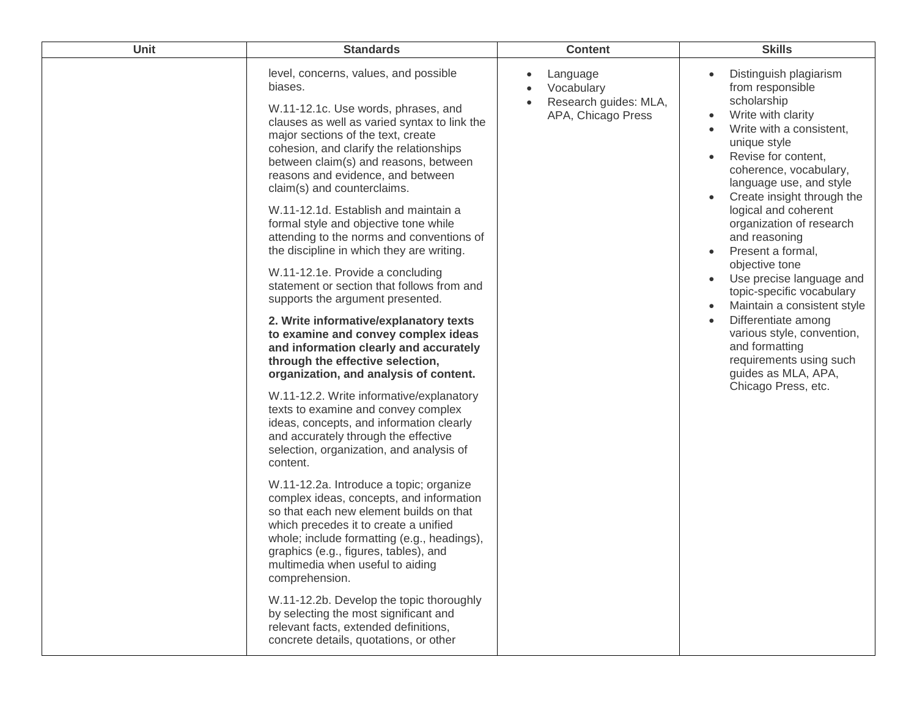| Unit | <b>Standards</b>                                                                                                                                                                                                                                                                                                                                                                                                                                                                                                                                                                                                                                                                                                                                                                                                                                                                                                                                                                                                                                                                                                                                                                                                                                                                                                                                                                                                                                                                                                                                                                | <b>Content</b>                                                        | <b>Skills</b>                                                                                                                                                                                                                                                                                                                                                                                                                                                                                                                                                                                          |
|------|---------------------------------------------------------------------------------------------------------------------------------------------------------------------------------------------------------------------------------------------------------------------------------------------------------------------------------------------------------------------------------------------------------------------------------------------------------------------------------------------------------------------------------------------------------------------------------------------------------------------------------------------------------------------------------------------------------------------------------------------------------------------------------------------------------------------------------------------------------------------------------------------------------------------------------------------------------------------------------------------------------------------------------------------------------------------------------------------------------------------------------------------------------------------------------------------------------------------------------------------------------------------------------------------------------------------------------------------------------------------------------------------------------------------------------------------------------------------------------------------------------------------------------------------------------------------------------|-----------------------------------------------------------------------|--------------------------------------------------------------------------------------------------------------------------------------------------------------------------------------------------------------------------------------------------------------------------------------------------------------------------------------------------------------------------------------------------------------------------------------------------------------------------------------------------------------------------------------------------------------------------------------------------------|
|      | level, concerns, values, and possible<br>biases.<br>W.11-12.1c. Use words, phrases, and<br>clauses as well as varied syntax to link the<br>major sections of the text, create<br>cohesion, and clarify the relationships<br>between claim(s) and reasons, between<br>reasons and evidence, and between<br>claim(s) and counterclaims.<br>W.11-12.1d. Establish and maintain a<br>formal style and objective tone while<br>attending to the norms and conventions of<br>the discipline in which they are writing.<br>W.11-12.1e. Provide a concluding<br>statement or section that follows from and<br>supports the argument presented.<br>2. Write informative/explanatory texts<br>to examine and convey complex ideas<br>and information clearly and accurately<br>through the effective selection,<br>organization, and analysis of content.<br>W.11-12.2. Write informative/explanatory<br>texts to examine and convey complex<br>ideas, concepts, and information clearly<br>and accurately through the effective<br>selection, organization, and analysis of<br>content.<br>W.11-12.2a. Introduce a topic; organize<br>complex ideas, concepts, and information<br>so that each new element builds on that<br>which precedes it to create a unified<br>whole; include formatting (e.g., headings),<br>graphics (e.g., figures, tables), and<br>multimedia when useful to aiding<br>comprehension.<br>W.11-12.2b. Develop the topic thoroughly<br>by selecting the most significant and<br>relevant facts, extended definitions,<br>concrete details, quotations, or other | Language<br>Vocabulary<br>Research guides: MLA,<br>APA, Chicago Press | Distinguish plagiarism<br>from responsible<br>scholarship<br>Write with clarity<br>Write with a consistent,<br>unique style<br>Revise for content,<br>coherence, vocabulary,<br>language use, and style<br>Create insight through the<br>logical and coherent<br>organization of research<br>and reasoning<br>Present a formal,<br>objective tone<br>Use precise language and<br>topic-specific vocabulary<br>Maintain a consistent style<br>Differentiate among<br>$\bullet$<br>various style, convention,<br>and formatting<br>requirements using such<br>guides as MLA, APA,<br>Chicago Press, etc. |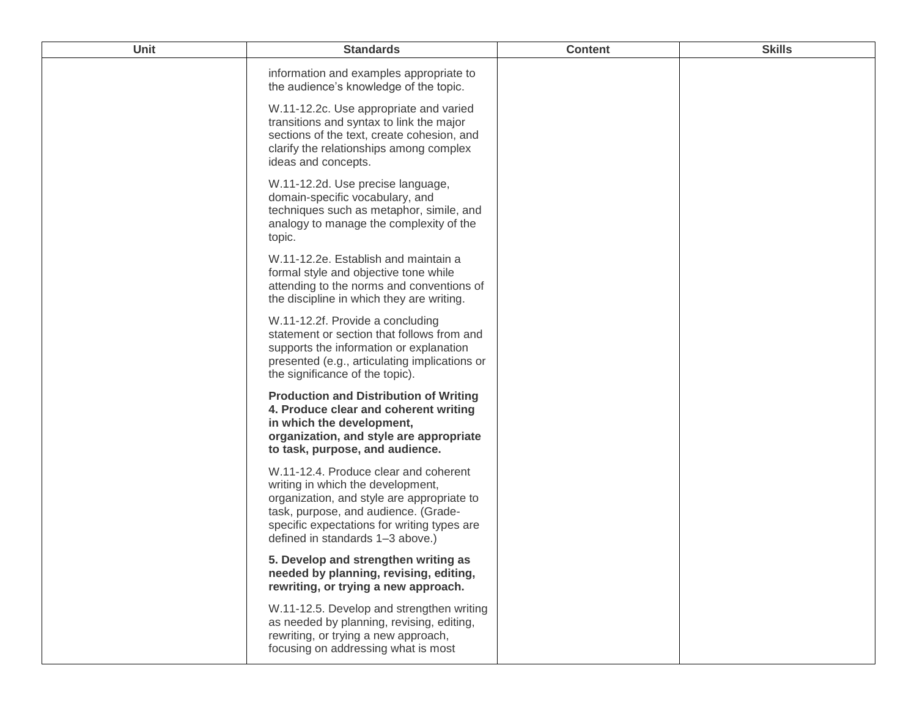| Unit | <b>Standards</b>                                                                                                                                                                                                                                    | <b>Content</b> | <b>Skills</b> |
|------|-----------------------------------------------------------------------------------------------------------------------------------------------------------------------------------------------------------------------------------------------------|----------------|---------------|
|      | information and examples appropriate to<br>the audience's knowledge of the topic.                                                                                                                                                                   |                |               |
|      | W.11-12.2c. Use appropriate and varied<br>transitions and syntax to link the major<br>sections of the text, create cohesion, and<br>clarify the relationships among complex<br>ideas and concepts.                                                  |                |               |
|      | W.11-12.2d. Use precise language,<br>domain-specific vocabulary, and<br>techniques such as metaphor, simile, and<br>analogy to manage the complexity of the<br>topic.                                                                               |                |               |
|      | W.11-12.2e. Establish and maintain a<br>formal style and objective tone while<br>attending to the norms and conventions of<br>the discipline in which they are writing.                                                                             |                |               |
|      | W.11-12.2f. Provide a concluding<br>statement or section that follows from and<br>supports the information or explanation<br>presented (e.g., articulating implications or<br>the significance of the topic).                                       |                |               |
|      | <b>Production and Distribution of Writing</b><br>4. Produce clear and coherent writing<br>in which the development,<br>organization, and style are appropriate<br>to task, purpose, and audience.                                                   |                |               |
|      | W.11-12.4. Produce clear and coherent<br>writing in which the development,<br>organization, and style are appropriate to<br>task, purpose, and audience. (Grade-<br>specific expectations for writing types are<br>defined in standards 1-3 above.) |                |               |
|      | 5. Develop and strengthen writing as<br>needed by planning, revising, editing,<br>rewriting, or trying a new approach.                                                                                                                              |                |               |
|      | W.11-12.5. Develop and strengthen writing<br>as needed by planning, revising, editing,<br>rewriting, or trying a new approach,<br>focusing on addressing what is most                                                                               |                |               |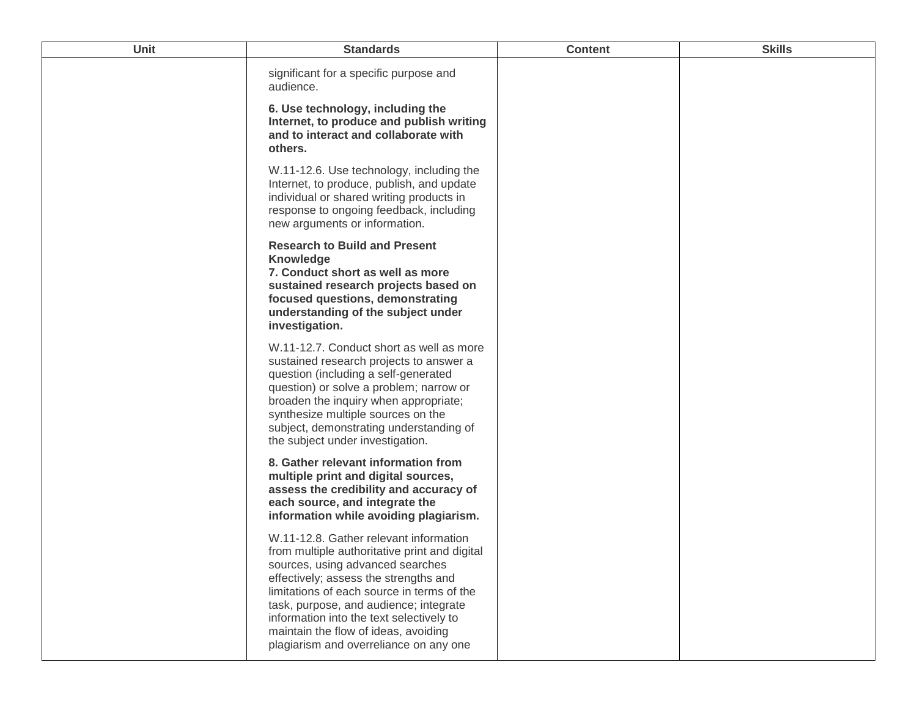| <b>Unit</b> | <b>Standards</b>                                                                                                                                                                                                                                                                                                                                                                           | <b>Content</b> | <b>Skills</b> |
|-------------|--------------------------------------------------------------------------------------------------------------------------------------------------------------------------------------------------------------------------------------------------------------------------------------------------------------------------------------------------------------------------------------------|----------------|---------------|
|             | significant for a specific purpose and<br>audience.                                                                                                                                                                                                                                                                                                                                        |                |               |
|             | 6. Use technology, including the<br>Internet, to produce and publish writing<br>and to interact and collaborate with<br>others.                                                                                                                                                                                                                                                            |                |               |
|             | W.11-12.6. Use technology, including the<br>Internet, to produce, publish, and update<br>individual or shared writing products in<br>response to ongoing feedback, including<br>new arguments or information.                                                                                                                                                                              |                |               |
|             | <b>Research to Build and Present</b><br><b>Knowledge</b><br>7. Conduct short as well as more<br>sustained research projects based on<br>focused questions, demonstrating<br>understanding of the subject under<br>investigation.                                                                                                                                                           |                |               |
|             | W.11-12.7. Conduct short as well as more<br>sustained research projects to answer a<br>question (including a self-generated<br>question) or solve a problem; narrow or<br>broaden the inquiry when appropriate;<br>synthesize multiple sources on the<br>subject, demonstrating understanding of<br>the subject under investigation.                                                       |                |               |
|             | 8. Gather relevant information from<br>multiple print and digital sources,<br>assess the credibility and accuracy of<br>each source, and integrate the<br>information while avoiding plagiarism.                                                                                                                                                                                           |                |               |
|             | W.11-12.8. Gather relevant information<br>from multiple authoritative print and digital<br>sources, using advanced searches<br>effectively; assess the strengths and<br>limitations of each source in terms of the<br>task, purpose, and audience; integrate<br>information into the text selectively to<br>maintain the flow of ideas, avoiding<br>plagiarism and overreliance on any one |                |               |